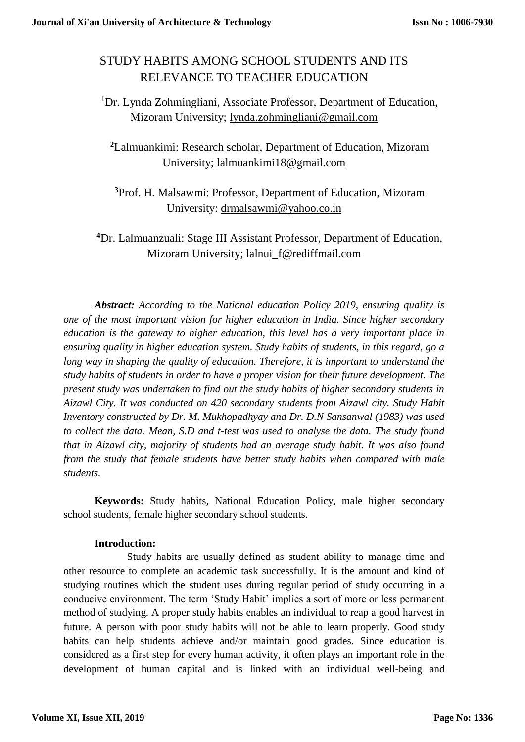# STUDY HABITS AMONG SCHOOL STUDENTS AND ITS RELEVANCE TO TEACHER EDUCATION

<sup>1</sup>Dr. Lynda Zohmingliani, Associate Professor, Department of Education, Mizoram University; [lynda.zohmingliani@gmail.com](mailto:lynda.zohmingliani@gmail.com)

**<sup>2</sup>**Lalmuankimi: Research scholar, Department of Education, Mizoram University; [lalmuankimi18@gmail.com](mailto:lalmuankimi18@gmail.com)

**<sup>3</sup>**Prof. H. Malsawmi: Professor, Department of Education, Mizoram University: [drmalsawmi@yahoo.co.in](mailto:drmalsawmi@yahoo.co.in)

**<sup>4</sup>**Dr. Lalmuanzuali: Stage III Assistant Professor, Department of Education, Mizoram University; lalnui f@rediffmail.com

*Abstract: According to the National education Policy 2019, ensuring quality is one of the most important vision for higher education in India. Since higher secondary education is the gateway to higher education, this level has a very important place in ensuring quality in higher education system. Study habits of students, in this regard, go a long way in shaping the quality of education. Therefore, it is important to understand the study habits of students in order to have a proper vision for their future development. The present study was undertaken to find out the study habits of higher secondary students in Aizawl City. It was conducted on 420 secondary students from Aizawl city. Study Habit Inventory constructed by Dr. M. Mukhopadhyay and Dr. D.N Sansanwal (1983) was used to collect the data. Mean, S.D and t-test was used to analyse the data. The study found that in Aizawl city, majority of students had an average study habit. It was also found from the study that female students have better study habits when compared with male students.*

**Keywords:** Study habits, National Education Policy, male higher secondary school students, female higher secondary school students.

# **Introduction:**

Study habits are usually defined as student ability to manage time and other resource to complete an academic task successfully. It is the amount and kind of studying routines which the student uses during regular period of study occurring in a conducive environment. The term 'Study Habit' implies a sort of more or less permanent method of studying. A proper study habits enables an individual to reap a good harvest in future. A person with poor study habits will not be able to learn properly. Good study habits can help students achieve and/or maintain good grades. Since education is considered as a first step for every human activity, it often plays an important role in the development of human capital and is linked with an individual well-being and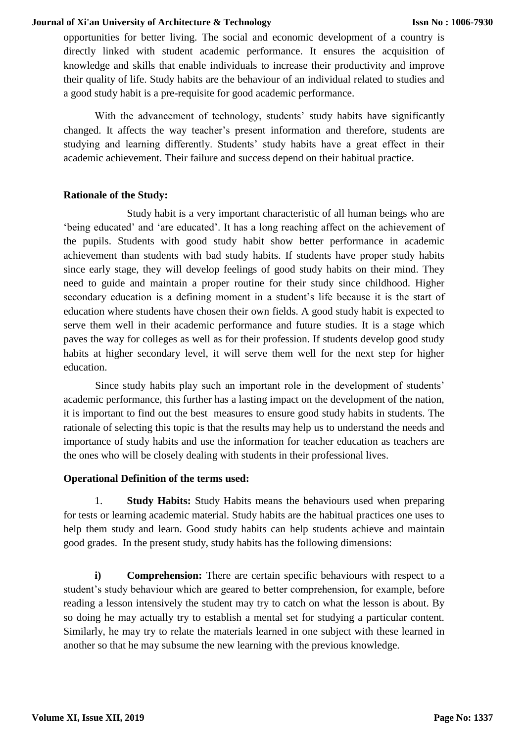opportunities for better living. The social and economic development of a country is directly linked with student academic performance. It ensures the acquisition of knowledge and skills that enable individuals to increase their productivity and improve their quality of life. Study habits are the behaviour of an individual related to studies and a good study habit is a pre-requisite for good academic performance.

With the advancement of technology, students' study habits have significantly changed. It affects the way teacher's present information and therefore, students are studying and learning differently. Students' study habits have a great effect in their academic achievement. Their failure and success depend on their habitual practice.

## **Rationale of the Study:**

Study habit is a very important characteristic of all human beings who are 'being educated' and 'are educated'. It has a long reaching affect on the achievement of the pupils. Students with good study habit show better performance in academic achievement than students with bad study habits. If students have proper study habits since early stage, they will develop feelings of good study habits on their mind. They need to guide and maintain a proper routine for their study since childhood. Higher secondary education is a defining moment in a student's life because it is the start of education where students have chosen their own fields. A good study habit is expected to serve them well in their academic performance and future studies. It is a stage which paves the way for colleges as well as for their profession. If students develop good study habits at higher secondary level, it will serve them well for the next step for higher education.

Since study habits play such an important role in the development of students' academic performance, this further has a lasting impact on the development of the nation, it is important to find out the best measures to ensure good study habits in students. The rationale of selecting this topic is that the results may help us to understand the needs and importance of study habits and use the information for teacher education as teachers are the ones who will be closely dealing with students in their professional lives.

# **Operational Definition of the terms used:**

1. **Study Habits:** Study Habits means the behaviours used when preparing for tests or learning academic material. Study habits are the habitual practices one uses to help them study and learn. Good study habits can help students achieve and maintain good grades. In the present study, study habits has the following dimensions:

**i) Comprehension:** There are certain specific behaviours with respect to a student's study behaviour which are geared to better comprehension, for example, before reading a lesson intensively the student may try to catch on what the lesson is about. By so doing he may actually try to establish a mental set for studying a particular content. Similarly, he may try to relate the materials learned in one subject with these learned in another so that he may subsume the new learning with the previous knowledge.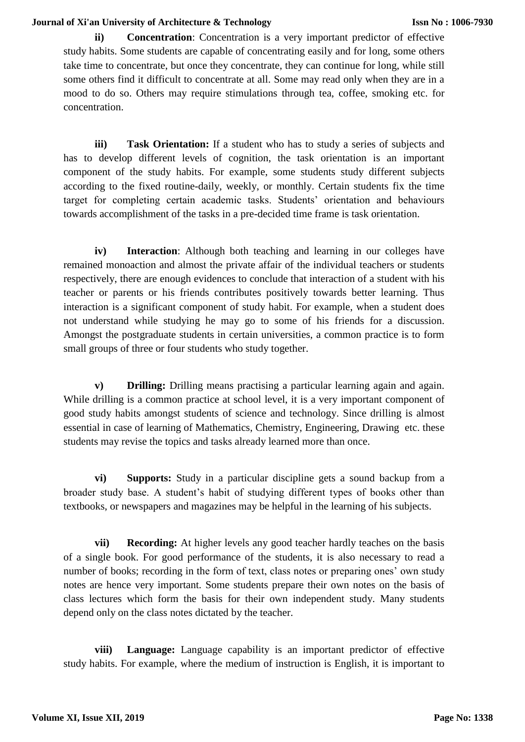**ii) Concentration**: Concentration is a very important predictor of effective study habits. Some students are capable of concentrating easily and for long, some others take time to concentrate, but once they concentrate, they can continue for long, while still some others find it difficult to concentrate at all. Some may read only when they are in a mood to do so. Others may require stimulations through tea, coffee, smoking etc. for concentration.

**iii) Task Orientation:** If a student who has to study a series of subjects and has to develop different levels of cognition, the task orientation is an important component of the study habits. For example, some students study different subjects according to the fixed routine-daily, weekly, or monthly. Certain students fix the time target for completing certain academic tasks. Students' orientation and behaviours towards accomplishment of the tasks in a pre-decided time frame is task orientation.

**iv) Interaction**: Although both teaching and learning in our colleges have remained monoaction and almost the private affair of the individual teachers or students respectively, there are enough evidences to conclude that interaction of a student with his teacher or parents or his friends contributes positively towards better learning. Thus interaction is a significant component of study habit. For example, when a student does not understand while studying he may go to some of his friends for a discussion. Amongst the postgraduate students in certain universities, a common practice is to form small groups of three or four students who study together.

**v) Drilling:** Drilling means practising a particular learning again and again. While drilling is a common practice at school level, it is a very important component of good study habits amongst students of science and technology. Since drilling is almost essential in case of learning of Mathematics, Chemistry, Engineering, Drawing etc. these students may revise the topics and tasks already learned more than once.

**vi) Supports:** Study in a particular discipline gets a sound backup from a broader study base. A student's habit of studying different types of books other than textbooks, or newspapers and magazines may be helpful in the learning of his subjects.

**vii) Recording:** At higher levels any good teacher hardly teaches on the basis of a single book. For good performance of the students, it is also necessary to read a number of books; recording in the form of text, class notes or preparing ones' own study notes are hence very important. Some students prepare their own notes on the basis of class lectures which form the basis for their own independent study. Many students depend only on the class notes dictated by the teacher.

**viii) Language:** Language capability is an important predictor of effective study habits. For example, where the medium of instruction is English, it is important to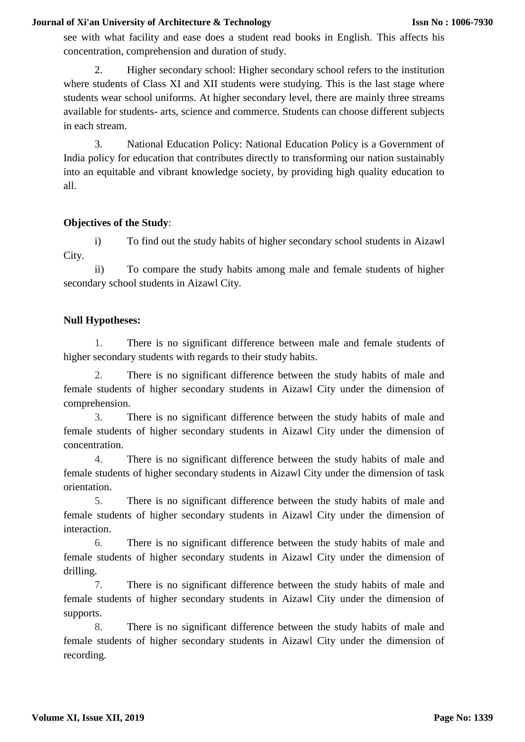see with what facility and ease does a student read books in English. This affects his concentration, comprehension and duration of study.

2. Higher secondary school: Higher secondary school refers to the institution where students of Class XI and XII students were studying. This is the last stage where students wear school uniforms. At higher secondary level, there are mainly three streams available for students- arts, science and commerce. Students can choose different subjects in each stream.

3. National Education Policy: National Education Policy is a Government of India policy for education that contributes directly to transforming our nation sustainably into an equitable and vibrant knowledge society, by providing high quality education to all.

# **Objectives of the Study**:

i) To find out the study habits of higher secondary school students in Aizawl City.

ii) To compare the study habits among male and female students of higher secondary school students in Aizawl City.

## **Null Hypotheses:**

1. There is no significant difference between male and female students of higher secondary students with regards to their study habits.

2. There is no significant difference between the study habits of male and female students of higher secondary students in Aizawl City under the dimension of comprehension.

3. There is no significant difference between the study habits of male and female students of higher secondary students in Aizawl City under the dimension of concentration.

4. There is no significant difference between the study habits of male and female students of higher secondary students in Aizawl City under the dimension of task orientation.

5. There is no significant difference between the study habits of male and female students of higher secondary students in Aizawl City under the dimension of interaction.

6. There is no significant difference between the study habits of male and female students of higher secondary students in Aizawl City under the dimension of drilling.

7. There is no significant difference between the study habits of male and female students of higher secondary students in Aizawl City under the dimension of supports.

8. There is no significant difference between the study habits of male and female students of higher secondary students in Aizawl City under the dimension of recording.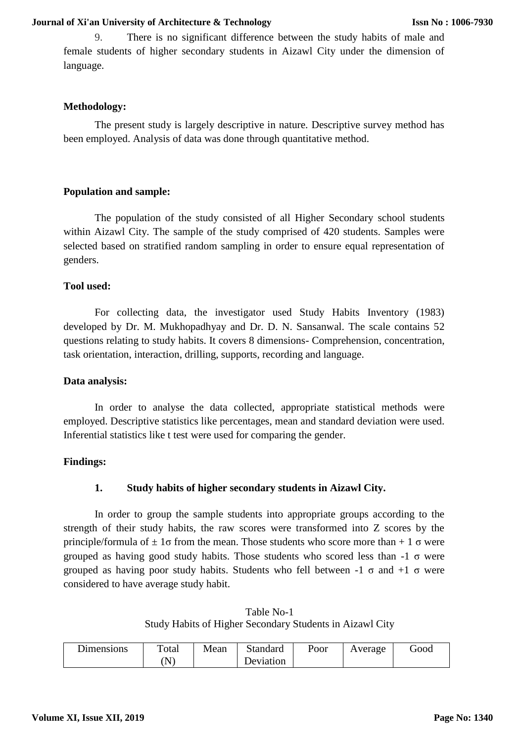9. There is no significant difference between the study habits of male and female students of higher secondary students in Aizawl City under the dimension of language.

## **Methodology:**

The present study is largely descriptive in nature. Descriptive survey method has been employed. Analysis of data was done through quantitative method.

# **Population and sample:**

The population of the study consisted of all Higher Secondary school students within Aizawl City. The sample of the study comprised of 420 students. Samples were selected based on stratified random sampling in order to ensure equal representation of genders.

## **Tool used:**

For collecting data, the investigator used Study Habits Inventory (1983) developed by Dr. M. Mukhopadhyay and Dr. D. N. Sansanwal. The scale contains 52 questions relating to study habits. It covers 8 dimensions- Comprehension, concentration, task orientation, interaction, drilling, supports, recording and language.

## **Data analysis:**

In order to analyse the data collected, appropriate statistical methods were employed. Descriptive statistics like percentages, mean and standard deviation were used. Inferential statistics like t test were used for comparing the gender.

# **Findings:**

# **1. Study habits of higher secondary students in Aizawl City.**

In order to group the sample students into appropriate groups according to the strength of their study habits, the raw scores were transformed into Z scores by the principle/formula of  $\pm 1\sigma$  from the mean. Those students who score more than  $+ 1\sigma$  were grouped as having good study habits. Those students who scored less than  $-1 \sigma$  were grouped as having poor study habits. Students who fell between  $-1 \sigma$  and  $+1 \sigma$  were considered to have average study habit.

Table No-1 Study Habits of Higher Secondary Students in Aizawl City

| Dimensions | Total | Mean | Standard  | Poor | Average | 000t |
|------------|-------|------|-----------|------|---------|------|
|            | N     |      | Deviation |      |         |      |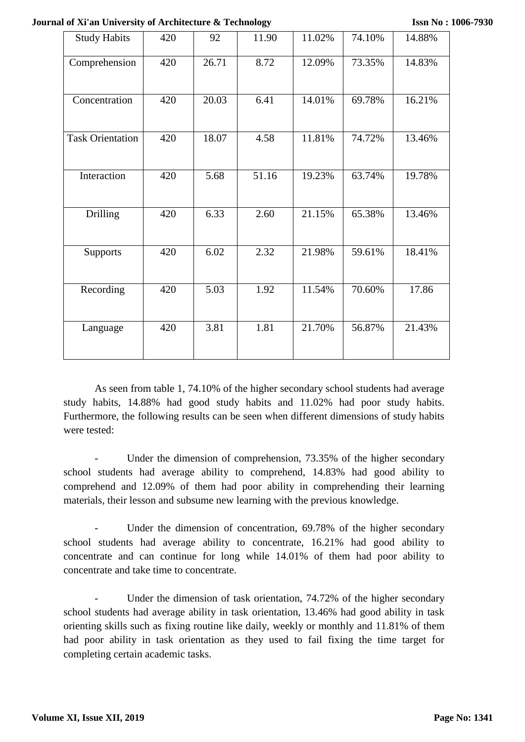**Journal of Xi'an University of Architecture & Technology**

| <b>Study Habits</b>     | 420 | 92    | 11.90 | 11.02% | 74.10% | 14.88% |
|-------------------------|-----|-------|-------|--------|--------|--------|
| Comprehension           | 420 | 26.71 | 8.72  | 12.09% | 73.35% | 14.83% |
| Concentration           | 420 | 20.03 | 6.41  | 14.01% | 69.78% | 16.21% |
| <b>Task Orientation</b> | 420 | 18.07 | 4.58  | 11.81% | 74.72% | 13.46% |
| Interaction             | 420 | 5.68  | 51.16 | 19.23% | 63.74% | 19.78% |
| Drilling                | 420 | 6.33  | 2.60  | 21.15% | 65.38% | 13.46% |
| <b>Supports</b>         | 420 | 6.02  | 2.32  | 21.98% | 59.61% | 18.41% |
| Recording               | 420 | 5.03  | 1.92  | 11.54% | 70.60% | 17.86  |
| Language                | 420 | 3.81  | 1.81  | 21.70% | 56.87% | 21.43% |

As seen from table 1, 74.10% of the higher secondary school students had average study habits, 14.88% had good study habits and 11.02% had poor study habits. Furthermore, the following results can be seen when different dimensions of study habits were tested:

Under the dimension of comprehension, 73.35% of the higher secondary school students had average ability to comprehend, 14.83% had good ability to comprehend and 12.09% of them had poor ability in comprehending their learning materials, their lesson and subsume new learning with the previous knowledge.

Under the dimension of concentration, 69.78% of the higher secondary school students had average ability to concentrate, 16.21% had good ability to concentrate and can continue for long while 14.01% of them had poor ability to concentrate and take time to concentrate.

Under the dimension of task orientation, 74.72% of the higher secondary school students had average ability in task orientation, 13.46% had good ability in task orienting skills such as fixing routine like daily, weekly or monthly and 11.81% of them had poor ability in task orientation as they used to fail fixing the time target for completing certain academic tasks.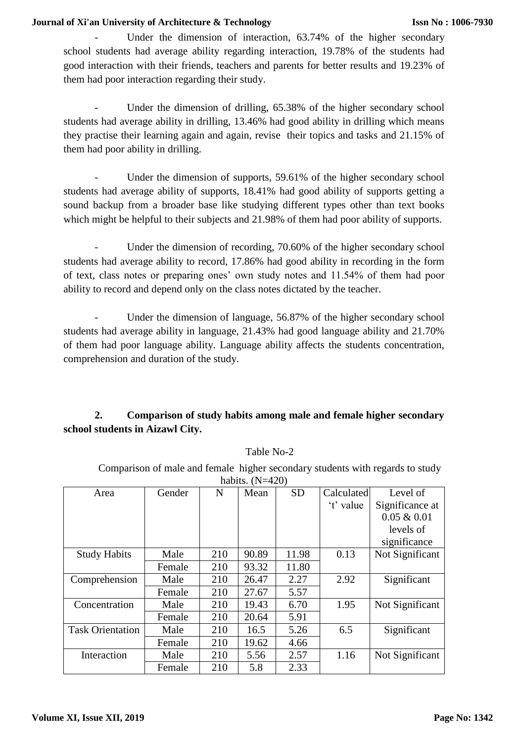Under the dimension of interaction, 63.74% of the higher secondary school students had average ability regarding interaction, 19.78% of the students had good interaction with their friends, teachers and parents for better results and 19.23% of them had poor interaction regarding their study.

Under the dimension of drilling, 65.38% of the higher secondary school students had average ability in drilling, 13.46% had good ability in drilling which means they practise their learning again and again, revise their topics and tasks and 21.15% of them had poor ability in drilling.

Under the dimension of supports, 59.61% of the higher secondary school students had average ability of supports, 18.41% had good ability of supports getting a sound backup from a broader base like studying different types other than text books which might be helpful to their subjects and 21.98% of them had poor ability of supports.

Under the dimension of recording, 70.60% of the higher secondary school students had average ability to record, 17.86% had good ability in recording in the form of text, class notes or preparing ones' own study notes and 11.54% of them had poor ability to record and depend only on the class notes dictated by the teacher.

Under the dimension of language, 56.87% of the higher secondary school students had average ability in language, 21.43% had good language ability and 21.70% of them had poor language ability. Language ability affects the students concentration, comprehension and duration of the study.

# **2. Comparison of study habits among male and female higher secondary school students in Aizawl City.**

| habits. $(N=420)$       |        |     |       |           |            |                 |
|-------------------------|--------|-----|-------|-----------|------------|-----------------|
| Area                    | Gender | N   | Mean  | <b>SD</b> | Calculated | Level of        |
|                         |        |     |       |           | 't' value  | Significance at |
|                         |        |     |       |           |            | $0.05 \& 0.01$  |
|                         |        |     |       |           |            | levels of       |
|                         |        |     |       |           |            | significance    |
| <b>Study Habits</b>     | Male   | 210 | 90.89 | 11.98     | 0.13       | Not Significant |
|                         | Female | 210 | 93.32 | 11.80     |            |                 |
| Comprehension           | Male   | 210 | 26.47 | 2.27      | 2.92       | Significant     |
|                         | Female | 210 | 27.67 | 5.57      |            |                 |
| Concentration           | Male   | 210 | 19.43 | 6.70      | 1.95       | Not Significant |
|                         | Female | 210 | 20.64 | 5.91      |            |                 |
| <b>Task Orientation</b> | Male   | 210 | 16.5  | 5.26      | 6.5        | Significant     |
|                         | Female | 210 | 19.62 | 4.66      |            |                 |
| Interaction             | Male   | 210 | 5.56  | 2.57      | 1.16       | Not Significant |
|                         | Female | 210 | 5.8   | 2.33      |            |                 |

Table No-2

Comparison of male and female higher secondary students with regards to study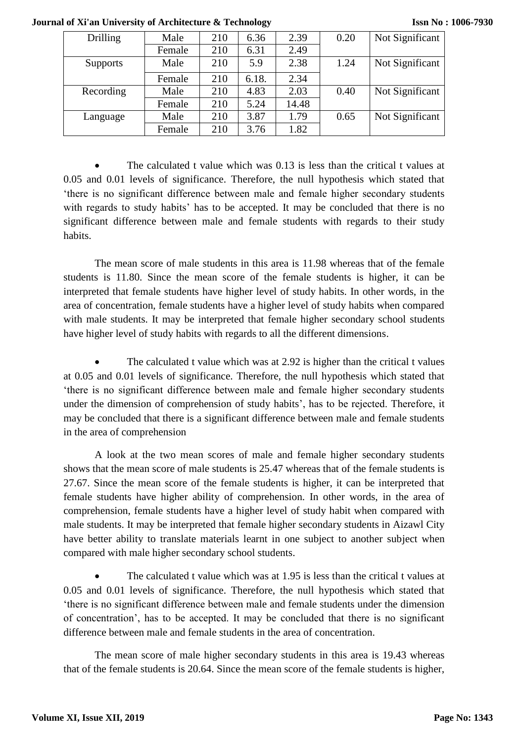| <b>Drilling</b> | Male   | 210 | 6.36  | 2.39  | 0.20 | Not Significant |
|-----------------|--------|-----|-------|-------|------|-----------------|
|                 | Female | 210 | 6.31  | 2.49  |      |                 |
| <b>Supports</b> | Male   | 210 | 5.9   | 2.38  | 1.24 | Not Significant |
|                 | Female | 210 | 6.18. | 2.34  |      |                 |
| Recording       | Male   | 210 | 4.83  | 2.03  | 0.40 | Not Significant |
|                 | Female | 210 | 5.24  | 14.48 |      |                 |
| Language        | Male   | 210 | 3.87  | 1.79  | 0.65 | Not Significant |
|                 | Female | 210 | 3.76  | 1.82  |      |                 |

**Issn No : 1006-7930**

 The calculated t value which was 0.13 is less than the critical t values at 0.05 and 0.01 levels of significance. Therefore, the null hypothesis which stated that 'there is no significant difference between male and female higher secondary students with regards to study habits' has to be accepted. It may be concluded that there is no significant difference between male and female students with regards to their study habits.

The mean score of male students in this area is 11.98 whereas that of the female students is 11.80. Since the mean score of the female students is higher, it can be interpreted that female students have higher level of study habits. In other words, in the area of concentration, female students have a higher level of study habits when compared with male students. It may be interpreted that female higher secondary school students have higher level of study habits with regards to all the different dimensions.

 The calculated t value which was at 2.92 is higher than the critical t values at 0.05 and 0.01 levels of significance. Therefore, the null hypothesis which stated that 'there is no significant difference between male and female higher secondary students under the dimension of comprehension of study habits', has to be rejected. Therefore, it may be concluded that there is a significant difference between male and female students in the area of comprehension

A look at the two mean scores of male and female higher secondary students shows that the mean score of male students is 25.47 whereas that of the female students is 27.67. Since the mean score of the female students is higher, it can be interpreted that female students have higher ability of comprehension. In other words, in the area of comprehension, female students have a higher level of study habit when compared with male students. It may be interpreted that female higher secondary students in Aizawl City have better ability to translate materials learnt in one subject to another subject when compared with male higher secondary school students.

 The calculated t value which was at 1.95 is less than the critical t values at 0.05 and 0.01 levels of significance. Therefore, the null hypothesis which stated that 'there is no significant difference between male and female students under the dimension of concentration', has to be accepted. It may be concluded that there is no significant difference between male and female students in the area of concentration.

The mean score of male higher secondary students in this area is 19.43 whereas that of the female students is 20.64. Since the mean score of the female students is higher,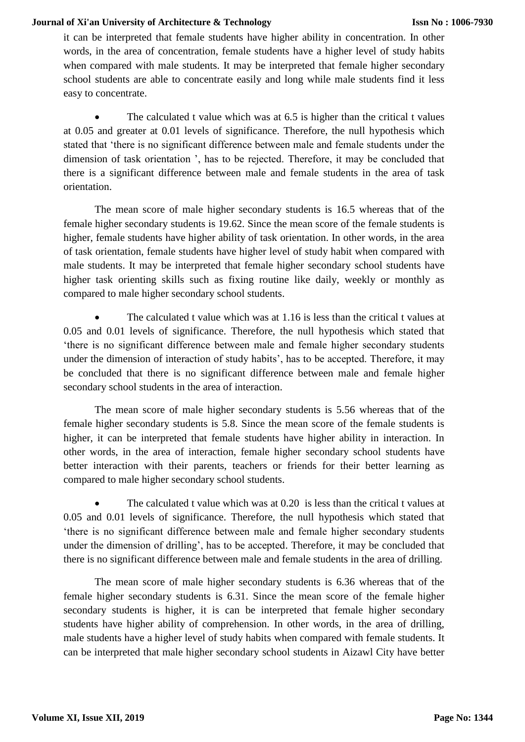it can be interpreted that female students have higher ability in concentration. In other words, in the area of concentration, female students have a higher level of study habits when compared with male students. It may be interpreted that female higher secondary school students are able to concentrate easily and long while male students find it less easy to concentrate.

 The calculated t value which was at 6.5 is higher than the critical t values at 0.05 and greater at 0.01 levels of significance. Therefore, the null hypothesis which stated that 'there is no significant difference between male and female students under the dimension of task orientation ', has to be rejected. Therefore, it may be concluded that there is a significant difference between male and female students in the area of task orientation.

The mean score of male higher secondary students is 16.5 whereas that of the female higher secondary students is 19.62. Since the mean score of the female students is higher, female students have higher ability of task orientation. In other words, in the area of task orientation, female students have higher level of study habit when compared with male students. It may be interpreted that female higher secondary school students have higher task orienting skills such as fixing routine like daily, weekly or monthly as compared to male higher secondary school students.

 The calculated t value which was at 1.16 is less than the critical t values at 0.05 and 0.01 levels of significance. Therefore, the null hypothesis which stated that 'there is no significant difference between male and female higher secondary students under the dimension of interaction of study habits', has to be accepted. Therefore, it may be concluded that there is no significant difference between male and female higher secondary school students in the area of interaction.

The mean score of male higher secondary students is 5.56 whereas that of the female higher secondary students is 5.8. Since the mean score of the female students is higher, it can be interpreted that female students have higher ability in interaction. In other words, in the area of interaction, female higher secondary school students have better interaction with their parents, teachers or friends for their better learning as compared to male higher secondary school students.

• The calculated t value which was at 0.20 is less than the critical t values at 0.05 and 0.01 levels of significance. Therefore, the null hypothesis which stated that 'there is no significant difference between male and female higher secondary students under the dimension of drilling', has to be accepted. Therefore, it may be concluded that there is no significant difference between male and female students in the area of drilling.

The mean score of male higher secondary students is 6.36 whereas that of the female higher secondary students is 6.31. Since the mean score of the female higher secondary students is higher, it is can be interpreted that female higher secondary students have higher ability of comprehension. In other words, in the area of drilling, male students have a higher level of study habits when compared with female students. It can be interpreted that male higher secondary school students in Aizawl City have better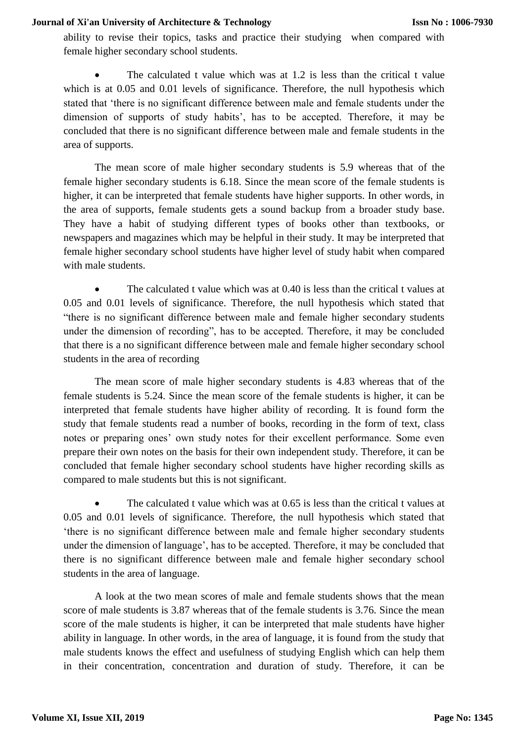ability to revise their topics, tasks and practice their studying when compared with female higher secondary school students.

 The calculated t value which was at 1.2 is less than the critical t value which is at 0.05 and 0.01 levels of significance. Therefore, the null hypothesis which stated that 'there is no significant difference between male and female students under the dimension of supports of study habits', has to be accepted. Therefore, it may be concluded that there is no significant difference between male and female students in the area of supports.

The mean score of male higher secondary students is 5.9 whereas that of the female higher secondary students is 6.18. Since the mean score of the female students is higher, it can be interpreted that female students have higher supports. In other words, in the area of supports, female students gets a sound backup from a broader study base. They have a habit of studying different types of books other than textbooks, or newspapers and magazines which may be helpful in their study. It may be interpreted that female higher secondary school students have higher level of study habit when compared with male students.

 The calculated t value which was at 0.40 is less than the critical t values at 0.05 and 0.01 levels of significance. Therefore, the null hypothesis which stated that "there is no significant difference between male and female higher secondary students under the dimension of recording", has to be accepted. Therefore, it may be concluded that there is a no significant difference between male and female higher secondary school students in the area of recording

The mean score of male higher secondary students is 4.83 whereas that of the female students is 5.24. Since the mean score of the female students is higher, it can be interpreted that female students have higher ability of recording. It is found form the study that female students read a number of books, recording in the form of text, class notes or preparing ones' own study notes for their excellent performance. Some even prepare their own notes on the basis for their own independent study. Therefore, it can be concluded that female higher secondary school students have higher recording skills as compared to male students but this is not significant.

• The calculated t value which was at 0.65 is less than the critical t values at 0.05 and 0.01 levels of significance. Therefore, the null hypothesis which stated that 'there is no significant difference between male and female higher secondary students under the dimension of language', has to be accepted. Therefore, it may be concluded that there is no significant difference between male and female higher secondary school students in the area of language.

A look at the two mean scores of male and female students shows that the mean score of male students is 3.87 whereas that of the female students is 3.76. Since the mean score of the male students is higher, it can be interpreted that male students have higher ability in language. In other words, in the area of language, it is found from the study that male students knows the effect and usefulness of studying English which can help them in their concentration, concentration and duration of study. Therefore, it can be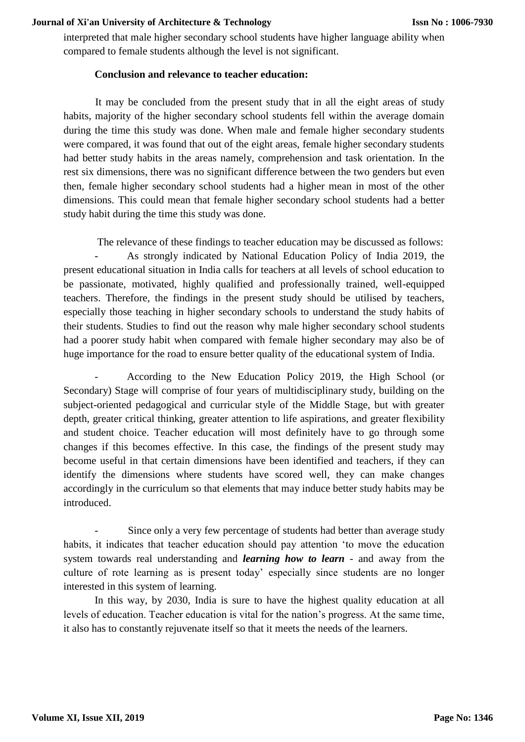interpreted that male higher secondary school students have higher language ability when compared to female students although the level is not significant.

## **Conclusion and relevance to teacher education:**

It may be concluded from the present study that in all the eight areas of study habits, majority of the higher secondary school students fell within the average domain during the time this study was done. When male and female higher secondary students were compared, it was found that out of the eight areas, female higher secondary students had better study habits in the areas namely, comprehension and task orientation. In the rest six dimensions, there was no significant difference between the two genders but even then, female higher secondary school students had a higher mean in most of the other dimensions. This could mean that female higher secondary school students had a better study habit during the time this study was done.

The relevance of these findings to teacher education may be discussed as follows: - As strongly indicated by National Education Policy of India 2019, the present educational situation in India calls for teachers at all levels of school education to be passionate, motivated, highly qualified and professionally trained, well-equipped teachers. Therefore, the findings in the present study should be utilised by teachers, especially those teaching in higher secondary schools to understand the study habits of their students. Studies to find out the reason why male higher secondary school students had a poorer study habit when compared with female higher secondary may also be of huge importance for the road to ensure better quality of the educational system of India.

- According to the New Education Policy 2019, the High School (or Secondary) Stage will comprise of four years of multidisciplinary study, building on the subject-oriented pedagogical and curricular style of the Middle Stage, but with greater depth, greater critical thinking, greater attention to life aspirations, and greater flexibility and student choice. Teacher education will most definitely have to go through some changes if this becomes effective. In this case, the findings of the present study may become useful in that certain dimensions have been identified and teachers, if they can identify the dimensions where students have scored well, they can make changes accordingly in the curriculum so that elements that may induce better study habits may be introduced.

Since only a very few percentage of students had better than average study habits, it indicates that teacher education should pay attention 'to move the education system towards real understanding and *learning how to learn* - and away from the culture of rote learning as is present today' especially since students are no longer interested in this system of learning.

In this way, by 2030, India is sure to have the highest quality education at all levels of education. Teacher education is vital for the nation's progress. At the same time, it also has to constantly rejuvenate itself so that it meets the needs of the learners.